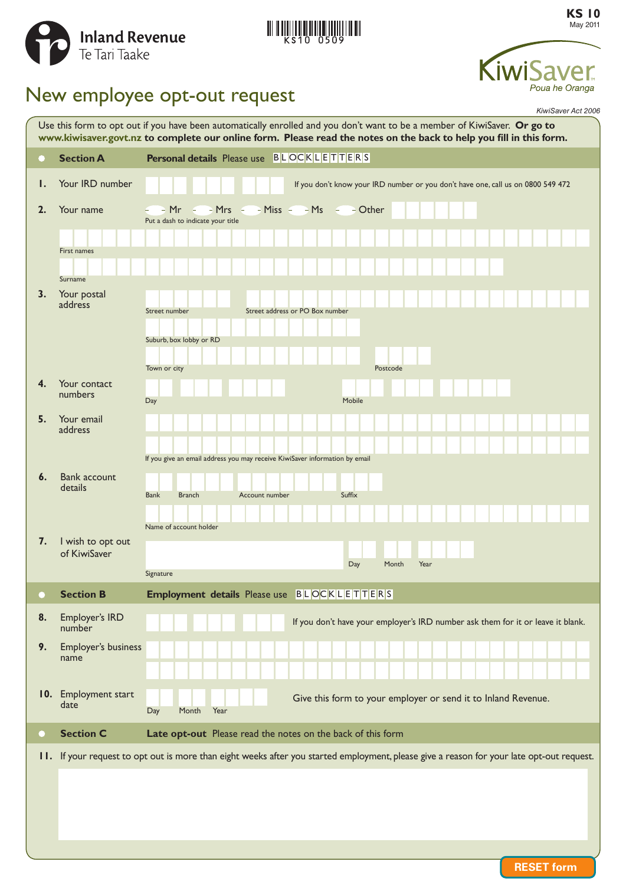



**KS 10** May 2011



# New employee opt-out request

|    |                                   | KiwiSaver Act 2006                                                                                                                                                                                                                               |
|----|-----------------------------------|--------------------------------------------------------------------------------------------------------------------------------------------------------------------------------------------------------------------------------------------------|
|    |                                   | Use this form to opt out if you have been automatically enrolled and you don't want to be a member of KiwiSaver. Or go to<br>www.kiwisaver.govt.nz to complete our online form. Please read the notes on the back to help you fill in this form. |
|    | <b>Section A</b>                  | <b>Personal details</b> Please use BLOCKLETTERS                                                                                                                                                                                                  |
| Ι. | Your IRD number                   | If you don't know your IRD number or you don't have one, call us on 0800 549 472                                                                                                                                                                 |
| 2. | Your name<br>First names          | $Mr - Mrs - Miss - Mss - Ms -$<br>- Other<br>Put a dash to indicate your title                                                                                                                                                                   |
| 3. | Surname<br>Your postal<br>address | Street address or PO Box number<br>Street number                                                                                                                                                                                                 |
|    |                                   | Suburb, box lobby or RD<br>Town or city<br>Postcode                                                                                                                                                                                              |
| 4. | Your contact<br>numbers           | Mobile<br>Day                                                                                                                                                                                                                                    |
| 5. | Your email<br>address             | If you give an email address you may receive KiwiSaver information by email                                                                                                                                                                      |
| 6. | <b>Bank account</b><br>details    | Suffix<br><b>Bank</b><br><b>Branch</b><br>Account number                                                                                                                                                                                         |
| 7. | I wish to opt out<br>of KiwiSaver | Name of account holder<br>Day<br>Month<br>Year<br>Signature                                                                                                                                                                                      |
|    | <b>Section B</b>                  | Employment details Please use BLOCKLETTERS                                                                                                                                                                                                       |
| 8. | Employer's IRD<br>number          | If you don't have your employer's IRD number ask them for it or leave it blank.                                                                                                                                                                  |
| 9. | Employer's business<br>name       |                                                                                                                                                                                                                                                  |
|    | 10. Employment start<br>date      | Give this form to your employer or send it to Inland Revenue.<br>Day<br>Year<br>Month                                                                                                                                                            |
| O  | <b>Section C</b>                  | Late opt-out Please read the notes on the back of this form                                                                                                                                                                                      |
|    |                                   | II. If your request to opt out is more than eight weeks after you started employment, please give a reason for your late opt-out request.                                                                                                        |
|    |                                   |                                                                                                                                                                                                                                                  |